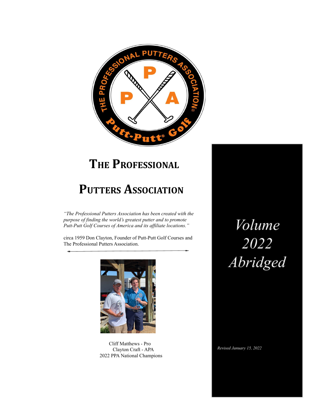

# **THE PROFESSIONAL**

# **PUTTERS ASSOCIATION**

*"The Professional Putters Association has been created with the purpose of finding the world's greatest putter and to promote Putt-Putt Golf Courses of America and its af iliate locations."*

circa 1959 Don Clayton, Founder of Putt-Putt Golf Courses and The Professional Putters Association.



Cliff Matthews - Pro Clayton Craft - APA 2022 PPA National Champions

Volume 2022<br>Abridged

Revised January 15, 2022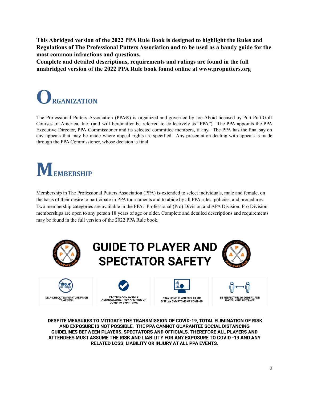**This Abridged version of the 2022 PPA Rule Book is designed to highlight the Rules and Regulations of The Professional Putters Association and to be used as a handy guide for the most common infractions and questions.**

**Complete and detailed descriptions, requirements and rulings are found in the full unabridged version of the 2022 PPA Rule book found online at www.proputters.org**



The Professional Putters Association (PPA®) is organized and governed by Joe Aboid licensed by Putt-Putt Golf Courses of America, Inc. (and will hereinafter be referred to collectively as "PPA"). The PPA appoints the PPA Executive Director, PPA Commissioner and its selected committee members, if any. The PPA has the final say on any appeals that may be made where appeal rights are specified. Any presentation dealing with appeals is made through the PPA Commissioner, whose decision is final.

# **MEMBERSHIP**

Membership in The Professional Putters Association (PPA) is extended to select individuals, male and female, on the basis of their desire to participate in PPA tournaments and to abide by all PPA rules, policies, and procedures. Two membership categories are available in the PPA: Professional (Pro) Division and APA Division. Pro Division memberships are open to any person 18 years of age or older. Complete and detailed descriptions and requirements may be found in the full version of the 2022 PPA Rule book.



DESPITE MEASURES TO MITIGATE THE TRANSMISSION OF COVID-19, TOTAL ELIMINATION OF RISK AND EXPOSURE IS NOT POSSIBLE. THE PPA CANNOT GUARANTEE SOCIAL DISTANCING GUIDELINES BETWEEN PLAYERS, SPECTATORS AND OFFICIALS. THEREFORE ALL PLAYERS AND ATTENDEES MUST ASSUME THE RISK AND LIABILITY FOR ANY EXPOSURE TO COVID -19 AND ANY RELATED LOSS, LIABILITY OR INJURY AT ALL PPA EVENTS.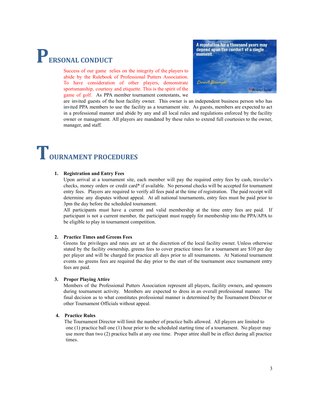# **PERSONAL CONDUCT**

Success of our game relies on the integrity of the players to abide by the Rulebook of Professional Putters Association. To have consideration of other players, demonstrate sportsmanship, courtesy and etiquette. This is the spirit of the game of golf. As PPA member tournament contestants, we



are invited guests of the host facility owner. This owner is an independent business person who has invited PPA members to use the facility as a tournament site. As guests, members are expected to act in a professional manner and abide by any and all local rules and regulations enforced by the facility owner or management. All players are mandated by these rules to extend full courtesies to the owner, manager, and staff.

# **TOURNAMENT PROCEDURES**

### **1. Registration and Entry Fees**

Upon arrival at a tournament site, each member will pay the required entry fees by cash, traveler's checks, money orders or credit card\* if available. No personal checks will be accepted for tournament entry fees. Players are required to verify all fees paid at the time of registration. The paid receipt will determine any disputes without appeal. At all national tournaments, entry fees must be paid prior to 3pm the day before the scheduled tournament.

All participants must have a current and valid membership at the time entry fees are paid. If participant is not a current member, the participant must reapply for membership into the PPA/APA to be eligible to play in tournament competition.

### **2. Practice Times and Greens Fees**

Greens fee privileges and rates are set at the discretion of the local facility owner. Unless otherwise stated by the facility ownership, greens fees to cover practice times for a tournament are \$10 per day per player and will be charged for practice all days prior to all tournaments. At National tournament events no greens fees are required the day prior to the start of the tournament once tournament entry fees are paid.

# **3. Proper Playing Attire**

Members of the Professional Putters Association represent all players, facility owners, and sponsors during tournament activity. Members are expected to dress in an overall professional manner. The final decision as to what constitutes professional manner is determined by the Tournament Director or other Tournament Officials without appeal.

## **4. Practice Rules**

The Tournament Director will limit the number of practice balls allowed. All players are limited to one (1) practice ball one (1) hour prior to the scheduled starting time of a tournament. No player may use more than two (2) practice balls at any one time. Proper attire shall be in effect during all practice times.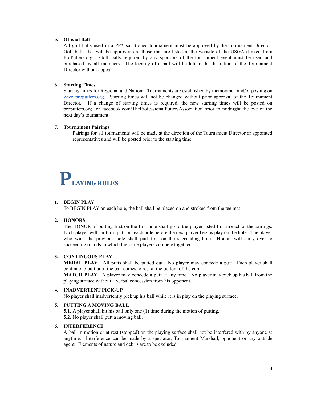## **5. Official Ball**

All golf balls used in a PPA sanctioned tournament must be approved by the Tournament Director. Golf balls that will be approved are those that are listed at the website of the USGA (linked from ProPutters.org. Golf balls required by any sponsors of the tournament event must be used and purchased by all members. The legality of a ball will be left to the discretion of the Tournament Director without appeal.

# **6. Starting Times**

Starting times for Regional and National Tournaments are established by memoranda and/or posting on [www.proputters.org.](http://www.proputters.org) Starting times will not be changed without prior approval of the Tournament Director. If a change of starting times is required, the new starting times will be posted on proputters.org or facebook.com/TheProfessionalPuttersAssociation prior to midnight the eve of the next day's tournament.

## **7. Tournament Pairings**

Pairings for all tournaments will be made at the direction of the Tournament Director or appointed representatives and will be posted prior to the starting time.

# **PLAYING RULES**

### **1. BEGIN PLAY**

To BEGIN PLAY on each hole, the ball shall be placed on and stroked from the tee mat.

### **2. HONORS**

The HONOR of putting first on the first hole shall go to the player listed first in each of the pairings. Each player will, in turn, putt out each hole before the next player begins play on the hole. The player who wins the previous hole shall putt first on the succeeding hole. Honors will carry over to succeeding rounds in which the same players compete together.

### **3. CONTINUOUS PLAY**

**MEDAL PLAY**. All putts shall be putted out. No player may concede a putt. Each player shall continue to putt until the ball comes to rest at the bottom of the cup.

**MATCH PLAY**. A player may concede a putt at any time. No player may pick up his ball from the playing surface without a verbal concession from his opponent.

### **4. INADVERTENT PICK-UP**

No player shall inadvertently pick up his ball while it is in play on the playing surface.

# **5. PUTTING A MOVING BALL**

**5.1.** A player shall hit his ball only one (1) time during the motion of putting. **5.2.** No player shall putt a moving ball.

# **6. INTERFERENCE**

A ball in motion or at rest (stopped) on the playing surface shall not be interfered with by anyone at anytime. Interference can be made by a spectator, Tournament Marshall, opponent or any outside agent. Elements of nature and debris are to be excluded.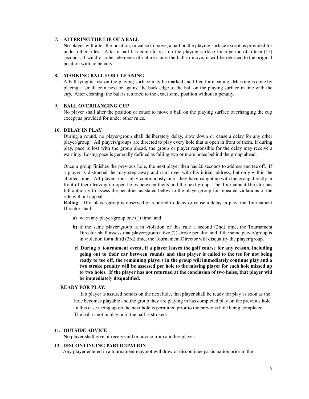## **7. ALTERING THE LIE OF A BALL**

No player will alter the position, or cause to move, a ball on the playing surface except as provided for under other rules. After a ball has come to rest on the playing surface for a period of fifteen (15) seconds, if wind or other elements of nature cause the ball to move, it will be returned to the original position with no penalty.

### **8. MARKING BALL FOR CLEANING**

A ball lying at rest on the playing surface may be marked and lifted for cleaning. Marking is done by placing a small coin next or against the back edge of the ball on the playing surface in line with the cup. After cleaning, the ball is returned to the exact same position without a penalty.

## **9. BALL OVERHANGING CUP**

No player shall alter the position or cause to move a ball on the playing surface overhanging the cup except as provided for under other rules.

### **10. DELAY IN PLAY**

During a round, no player/group shall deliberately delay, slow down or cause a delay for any other player/group. All players/groups are directed to play every hole that is open in front of them. If during play, pace is lost with the group ahead, the group or player responsible for the delay may receive a warning. Losing pace is generally defined as falling two or more holes behind the group ahead.

Once a group finishes the previous hole, the next player then has 20 seconds to address and tee off. If a player is distracted, he may step away and start over with his initial address, but only within the allotted time. All players must play continuously until they have caught up with the group directly in front of them leaving no open holes between theirs and the next group. The Tournament Director has full authority to assess the penalties as stated below to the player/group for repeated violations of the rule without appeal.

**Ruling:** If a player/group is observed or reported to delay or cause a delay in play, the Tournament Director shall:

- **a)** warn any player/group one (1) time; and
- **b)** if the same player/group is in violation of this rule a second (2nd) time, the Tournament Director shall assess that player/group a two (2) stroke penalty; and if the same player/group is in violation for a third (3rd) time, the Tournament Director will disqualify the player/group.
- **c) During a tournament event, if a player leaves the golf course for any reason, including going out to their car between rounds and that player is called to the tee for not being ready to tee off, the remaining players in the group will immediately continue play and a two stroke penalty will be assessed per hole to the missing player for each hole missed up to two holes. If the player has not returned at the conclusion of two holes, that player will be immediately disqualified.**

### **READY FOR PLAY:**

If a player is assured honors on the next hole, that player shall be ready for play as soon as the hole becomes playable and the group they are playing in has completed play on the previous hole. In this case teeing up on the next hole is permitted prior to the previous hole being completed. The ball is not in play until the ball is stroked.

### **11. OUTSIDE ADVICE**

No player shall give or receive aid or advice from another player.

### **12. DISCONTINUING PARTICIPATION**

Any player entered in a tournament may not withdraw or discontinue participation prior to the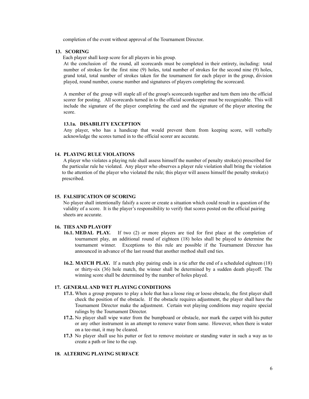completion of the event without approval of the Tournament Director.

### **13. SCORING**

Each player shall keep score for all players in his group.

At the conclusion of the round, all scorecards must be completed in their entirety, including: total number of strokes for the first nine (9) holes, total number of strokes for the second nine (9) holes, grand total, total number of strokes taken for the tournament for each player in the group, division played, round number, course number and signatures of players completing the scorecard.

A member of the group will staple all of the group's scorecards together and turn them into the official scorer for posting. All scorecards turned in to the official scorekeeper must be recognizable. This will include the signature of the player completing the card and the signature of the player attesting the score.

## **13.1a. DISABILITY EXCEPTION**

Any player, who has a handicap that would prevent them from keeping score, will verbally acknowledge the scores turned in to the official scorer are accurate.

### **14. PLAYING RULE VIOLATIONS**

A player who violates a playing rule shall assess himself the number of penalty stroke(s) prescribed for the particular rule he violated. Any player who observes a player rule violation shall bring the violation to the attention of the player who violated the rule; this player will assess himself the penalty stroke(s) prescribed.

### **15. FALSIFICATION OF SCORING**

No player shall intentionally falsify a score or create a situation which could result in a question of the validity of a score. It is the player's responsibility to verify that scores posted on the official pairing sheets are accurate.

# **16. TIES AND PLAYOFF**

- **16.1. MEDAL PLAY.** If two (2) or more players are tied for first place at the completion of tournament play, an additional round of eighteen (18) holes shall be played to determine the tournament winner. Exceptions to this rule are possible if the Tournament Director has announced in advance of the last round that another method shall end ties.
- **16.2. MATCH PLAY.** If a match play pairing ends in a tie after the end of a scheduled eighteen (18) or thirty-six (36) hole match, the winner shall be determined by a sudden death playoff. The winning score shall be determined by the number of holes played.

#### **17. GENERALAND WET PLAYING CONDITIONS**

- **17.1.** When a group prepares to play a hole that has a loose ring or loose obstacle, the first player shall check the position of the obstacle. If the obstacle requires adjustment, the player shall have the Tournament Director make the adjustment. Certain wet playing conditions may require special rulings by the Tournament Director.
- **17.2.** No player shall wipe water from the bumpboard or obstacle, nor mark the carpet with his putter or any other instrument in an attempt to remove water from same. However, when there is water on a tee-mat, it may be cleared.
- **17.3** No player shall use his putter or feet to remove moisture or standing water in such a way as to create a path or line to the cup.

### **18. ALTERING PLAYING SURFACE**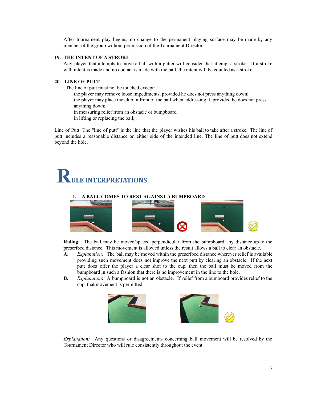After tournament play begins, no change to the permanent playing surface may be made by any member of the group without permission of the Tournament Director.

### **19. THE INTENT OF A STROKE**

Any player that attempts to move a ball with a putter will consider that attempt a stroke. If a stroke with intent is made and no contact is made with the ball, the intent will be counted as a stroke.

# **20. LINE OF PUTT**

The line of [putt](http://golf.about.com/cs/rulesofgolf/g/rules_lineofput.htm) must not be touched except:

the player may remove loose [impediments](http://golf.about.com/cs/rulesofgolf/g/rules_looseimpe.htm), provided he does not press anything down; the player may place the club in front of the ball when [addressing](http://golf.about.com/cs/rulesofgolf/g/rules_address.htm) it, provided he does not press anything down;

in measuring relief from an obstacle or bumpboard

in lifting or replacing the ball;

Line of Putt: The "line of putt" is the line that the player wishes his ball to take after a stroke. The line of putt includes a reasonable distance on either side of the intended line. The line of putt does not extend beyond the hole.

# **RULE INTERPRETATIONS**

### **1. A BALL COMES TO REST AGAINST A BUMPBOARD**



**Ruling:** The ball may be moved/spaced perpendicular from the bumpboard any distance up to the prescribed distance. This movement is allowed unless the result allows a ball to clear an obstacle.

- **A.** *Explanation:* The ball may be moved within the prescribed distance wherever relief is available providing such movement does not improve the next putt by clearing an obstacle. If the next putt does offer the player a clear shot to the cup, then the ball must be moved from the bumpboard in such a fashion that there is no improvement in the line to the hole.
- **B.** *Explanation*: A bumpboard is not an obstacle. If relief from a bumboard provides relief to the cup, that movement is permitted.



*Explanation:* Any questions or disagreements concerning ball movement will be resolved by the Tournament Director who will rule consistently throughout the event.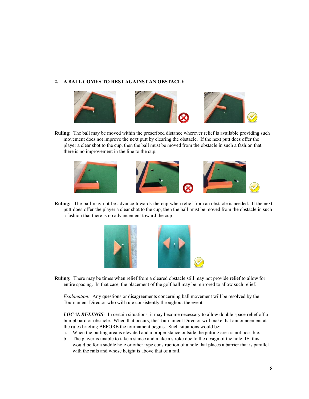# **2. A BALL COMES TO REST AGAINST AN OBSTACLE**



**Ruling:** The ball may be moved within the prescribed distance wherever relief is available providing such movement does not improve the next putt by clearing the obstacle. If the next putt does offer the player a clear shot to the cup, then the ball must be moved from the obstacle in such a fashion that there is no improvement in the line to the cup.



**Ruling:** The ball may not be advance towards the cup when relief from an obstacle is needed. If the next putt does offer the player a clear shot to the cup, then the ball must be moved from the obstacle in such a fashion that there is no advancement toward the cup



**Ruling:** There may be times when relief from a cleared obstacle still may not provide relief to allow for entire spacing. In that case, the placement of the golf ball may be mirrored to allow such relief.

*Explanation:* Any questions or disagreements concerning ball movement will be resolved by the Tournament Director who will rule consistently throughout the event.

*LOCAL RULINGS:* In certain situations, it may become necessary to allow double space relief off a bumpboard or obstacle. When that occurs, the Tournament Director will make that announcement at the rules briefing BEFORE the tournament begins. Such situations would be:

- a. When the putting area is elevated and a proper stance outside the putting area is not possible.
- b. The player is unable to take a stance and make a stroke due to the design of the hole, IE. this would be for a saddle hole or other type construction of a hole that places a barrier that is parallel with the rails and whose height is above that of a rail.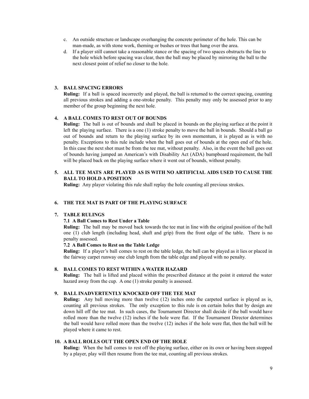- c. An outside structure or landscape overhanging the concrete perimeter of the hole. This can be man-made, as with stone work, theming or bushes or trees that hang over the area.
- d. If a player still cannot take a reasonable stance or the spacing of two spaces obstructs the line to the hole which before spacing was clear, then the ball may be placed by mirroring the ball to the next closest point of relief no closer to the hole.

# **3. BALL SPACING ERRORS**

**Ruling:** If a ball is spaced incorrectly and played, the ball is returned to the correct spacing, counting all previous strokes and adding a one-stroke penalty. This penalty may only be assessed prior to any member of the group beginning the next hole.

### **4. A BALL COMES TO REST OUT OF BOUNDS**

**Ruling:** The ball is out of bounds and shall be placed in bounds on the playing surface at the point it left the playing surface. There is a one (1) stroke penalty to move the ball in bounds. Should a ball go out of bounds and return to the playing surface by its own momentum, it is played as is with no penalty. Exceptions to this rule include when the ball goes out of bounds at the open end of the hole. In this case the next shot must be from the tee mat, without penalty. Also, in the event the ball goes out of bounds having jumped an American's with Disability Act (ADA) bumpboard requirement, the ball will be placed back on the playing surface where it went out of bounds, without penalty.

# **5. ALL TEE MATS ARE PLAYED AS IS WITH NO ARTIFICIAL AIDS USED TO CAUSE THE BALL TO HOLD A POSITION**

**Ruling:** Any player violating this rule shall replay the hole counting all previous strokes.

# **6. THE TEE MAT IS PART OF THE PLAYING SURFACE**

### **7. TABLE RULINGS**

### **7.1 A Ball Comes to Rest Under a Table**

**Ruling:** The ball may be moved back towards the tee mat in line with the original position of the ball one (1) club length (including head, shaft and grip) from the front edge of the table. There is no penalty assessed.

### **7.2 A Ball Comes to Rest on the Table Ledge**

**Ruling:** If a player's ball comes to rest on the table ledge, the ball can be played as it lies or placed in the fairway carpet runway one club length from the table edge and played with no penalty.

# **8. BALL COMES TO REST WITHIN A WATER HAZARD**

**Ruling:** The ball is lifted and placed within the prescribed distance at the point it entered the water hazard away from the cup. A one (1) stroke penalty is assessed.

# **9. BALL INADVERTENTLY KNOCKED OFF THE TEE MAT**

**Ruling:** Any ball moving more than twelve (12) inches onto the carpeted surface is played as is, counting all previous strokes. The only exception to this rule is on certain holes that by design are down hill off the tee mat. In such cases, the Tournament Director shall decide if the ball would have rolled more than the twelve (12) inches if the hole were flat. If the Tournament Director determines the ball would have rolled more than the twelve (12) inches if the hole were flat, then the ball will be played where it came to rest.

# **10. A BALL ROLLS OUT THE OPEN END OF THE HOLE**

**Ruling:** When the ball comes to rest off the playing surface, either on its own or having been stopped by a player, play will then resume from the tee mat, counting all previous strokes.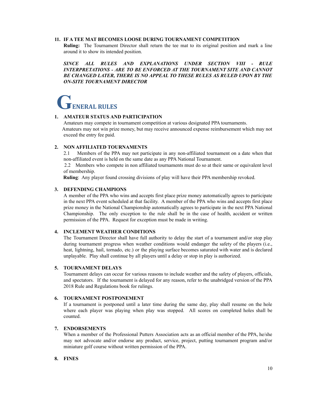## **11. IF A TEE MAT BECOMES LOOSE DURING TOURNAMENT COMPETITION**

**Ruling:** The Tournament Director shall return the tee mat to its original position and mark a line around it to show its intended position.

*SINCE ALL RULES AND EXPLANATIONS UNDER SECTION VIII - RULE INTERPRETATIONS - ARE TO BE ENFORCED AT THE TOURNAMENT SITE AND CANNOT BE CHANGED LATER, THERE IS NO APPEAL TO THESE RULES AS RULED UPON BY THE ON-SITE TOURNAMENT DIRECTOR*

# **GENERAL RULES**

## **1. AMATEUR STATUS AND PARTICIPATION**

Amateurs may compete in tournament competition at various designated PPA tournaments. Amateurs may not win prize money, but may receive announced expense reimbursement which may not exceed the entry fee paid.

# **2. NON AFFILIATED TOURNAMENTS**

2.1 Members of the PPA may not participate in any non-affiliated tournament on a date when that non-affiliated event is held on the same date as any PPA National Tournament.

2.2 Members who compete in non affiliated tournaments must do so at their same or equivalent level of membership.

**Ruling**: Any player found crossing divisions of play will have their PPA membership revoked.

# **3. DEFENDING CHAMPIONS**

A member of the PPA who wins and accepts first place prize money automatically agrees to participate in the next PPA event scheduled at that facility. A member of the PPA who wins and accepts first place prize money in the National Championship automatically agrees to participate in the next PPA National Championship. The only exception to the rule shall be in the case of health, accident or written permission of the PPA. Request for exception must be made in writing.

# **4. INCLEMENT WEATHER CONDITIONS**

The Tournament Director shall have full authority to delay the start of a tournament and/or stop play during tournament progress when weather conditions would endanger the safety of the players (i.e., heat, lightning, hail, tornado, etc.) or the playing surface becomes saturated with water and is declared unplayable. Play shall continue by all players until a delay or stop in play is authorized.

# **5. TOURNAMENT DELAYS**

Tournament delays can occur for various reasons to include weather and the safety of players, officials, and spectators. If the tournament is delayed for any reason, refer to the unabridged version of the PPA 2018 Rule and Regulations book for rulings.

# **6. TOURNAMENT POSTPONEMENT**

If a tournament is postponed until a later time during the same day, play shall resume on the hole where each player was playing when play was stopped. All scores on completed holes shall be counted.

# **7. ENDORSEMENTS**

When a member of the Professional Putters Association acts as an official member of the PPA, he/she may not advocate and/or endorse any product, service, project, putting tournament program and/or miniature golf course without written permission of the PPA.

# **8. FINES**